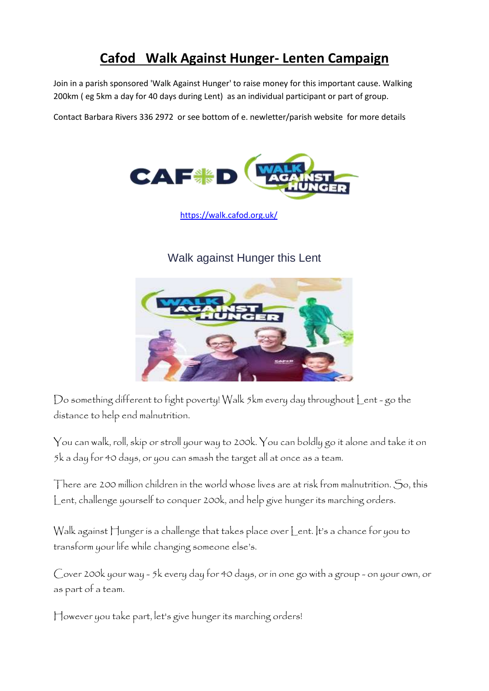### **Cafod Walk Against Hunger- Lenten Campaign**

Join in a parish sponsored 'Walk Against Hunger' to raise money for this important cause. Walking 200km ( eg 5km a day for 40 days during Lent) as an individual participant or part of group.

Contact Barbara Rivers 336 2972 or see bottom of e. newletter/parish website for more details



<https://walk.cafod.org.uk/>

#### [Walk against Hunger this Lent](https://walk.cafod.org.uk/)



Do something different to fight poverty! Walk 5km every day throughout Lent - go the distance to help end malnutrition.

You can walk, roll, skip or stroll your way to 200k. You can boldly go it alone and take it on 5k a day for 40 days, or you can smash the target all at once as a team.

There are 200 million children in the world whose lives are at risk from malnutrition. So, this Lent, challenge yourself to conquer 200k, and help give hunger its marching orders.

Walk against Hunger is a challenge that takes place over Lent. It's a chance for you to transform your life while changing someone else's.

Cover 200k your way - 5k every day for 40 days, or in one go with a group - on your own, or as part of a team.

However you take part, let's give hunger its marching orders!